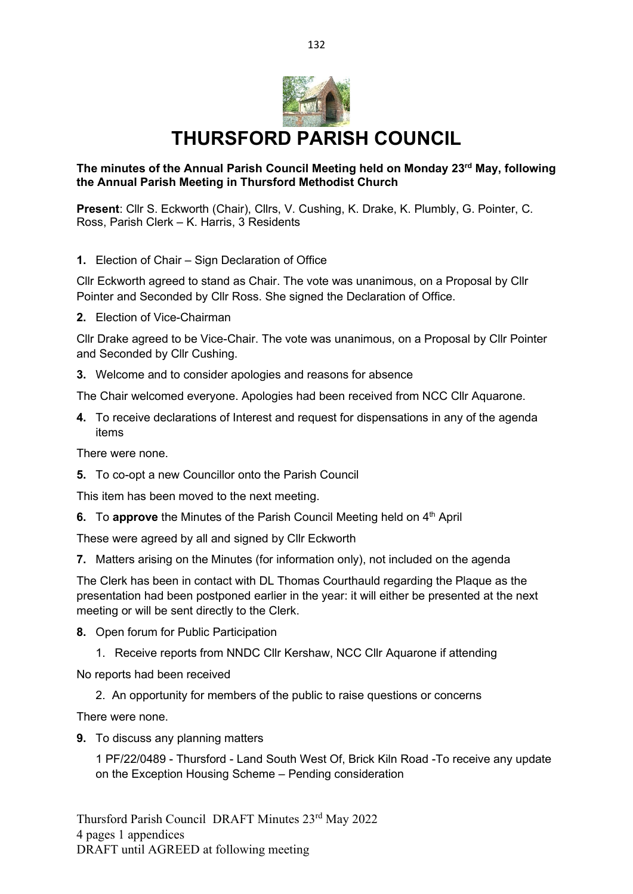

## **THURSFORD PARISH COUNCIL**

## **The minutes of the Annual Parish Council Meeting held on Monday 23rd May, following the Annual Parish Meeting in Thursford Methodist Church**

**Present**: Cllr S. Eckworth (Chair), Cllrs, V. Cushing, K. Drake, K. Plumbly, G. Pointer, C. Ross, Parish Clerk – K. Harris, 3 Residents

**1.** Election of Chair – Sign Declaration of Office

Cllr Eckworth agreed to stand as Chair. The vote was unanimous, on a Proposal by Cllr Pointer and Seconded by Cllr Ross. She signed the Declaration of Office.

**2.** Election of Vice-Chairman

Cllr Drake agreed to be Vice-Chair. The vote was unanimous, on a Proposal by Cllr Pointer and Seconded by Cllr Cushing.

**3.** Welcome and to consider apologies and reasons for absence

The Chair welcomed everyone. Apologies had been received from NCC Cllr Aquarone.

**4.** To receive declarations of Interest and request for dispensations in any of the agenda items

There were none.

**5.** To co-opt a new Councillor onto the Parish Council

This item has been moved to the next meeting.

**6.** To approve the Minutes of the Parish Council Meeting held on 4<sup>th</sup> April

These were agreed by all and signed by Cllr Eckworth

**7.** Matters arising on the Minutes (for information only), not included on the agenda

The Clerk has been in contact with DL Thomas Courthauld regarding the Plaque as the presentation had been postponed earlier in the year: it will either be presented at the next meeting or will be sent directly to the Clerk.

- **8.** Open forum for Public Participation
	- 1. Receive reports from NNDC Cllr Kershaw, NCC Cllr Aquarone if attending

No reports had been received

2. An opportunity for members of the public to raise questions or concerns

There were none.

**9.** To discuss any planning matters

1 PF/22/0489 - Thursford - Land South West Of, Brick Kiln Road -To receive any update on the Exception Housing Scheme – Pending consideration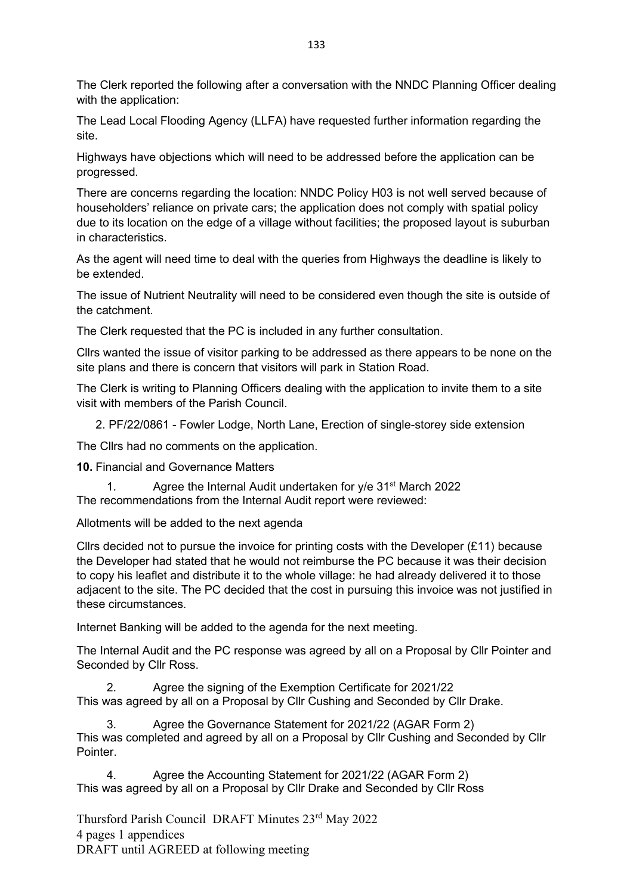The Clerk reported the following after a conversation with the NNDC Planning Officer dealing with the application:

The Lead Local Flooding Agency (LLFA) have requested further information regarding the site.

Highways have objections which will need to be addressed before the application can be progressed.

There are concerns regarding the location: NNDC Policy H03 is not well served because of householders' reliance on private cars; the application does not comply with spatial policy due to its location on the edge of a village without facilities; the proposed layout is suburban in characteristics.

As the agent will need time to deal with the queries from Highways the deadline is likely to be extended.

The issue of Nutrient Neutrality will need to be considered even though the site is outside of the catchment.

The Clerk requested that the PC is included in any further consultation.

Cllrs wanted the issue of visitor parking to be addressed as there appears to be none on the site plans and there is concern that visitors will park in Station Road.

The Clerk is writing to Planning Officers dealing with the application to invite them to a site visit with members of the Parish Council.

2. PF/22/0861 - Fowler Lodge, North Lane, Erection of single-storey side extension

The Cllrs had no comments on the application.

**10.** Financial and Governance Matters

1. Agree the Internal Audit undertaken for  $y/e$  31st March 2022 The recommendations from the Internal Audit report were reviewed:

Allotments will be added to the next agenda

Cllrs decided not to pursue the invoice for printing costs with the Developer (£11) because the Developer had stated that he would not reimburse the PC because it was their decision to copy his leaflet and distribute it to the whole village: he had already delivered it to those adjacent to the site. The PC decided that the cost in pursuing this invoice was not justified in these circumstances.

Internet Banking will be added to the agenda for the next meeting.

The Internal Audit and the PC response was agreed by all on a Proposal by Cllr Pointer and Seconded by Cllr Ross.

2. Agree the signing of the Exemption Certificate for 2021/22 This was agreed by all on a Proposal by Cllr Cushing and Seconded by Cllr Drake.

3. Agree the Governance Statement for 2021/22 (AGAR Form 2) This was completed and agreed by all on a Proposal by Cllr Cushing and Seconded by Cllr **Pointer** 

4. Agree the Accounting Statement for 2021/22 (AGAR Form 2) This was agreed by all on a Proposal by Cllr Drake and Seconded by Cllr Ross

Thursford Parish Council DRAFT Minutes 23rd May 2022 4 pages 1 appendices DRAFT until AGREED at following meeting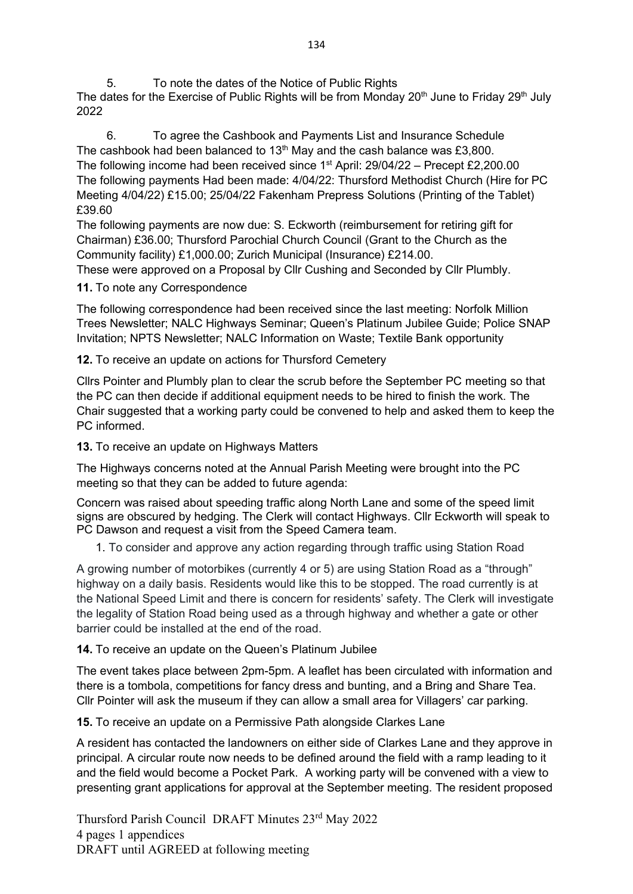5. To note the dates of the Notice of Public Rights

The dates for the Exercise of Public Rights will be from Monday 20<sup>th</sup> June to Friday 29<sup>th</sup> July 2022

6. To agree the Cashbook and Payments List and Insurance Schedule The cashbook had been balanced to 13<sup>th</sup> May and the cash balance was £3,800. The following income had been received since  $1<sup>st</sup>$  April: 29/04/22 – Precept £2,200.00 The following payments Had been made: 4/04/22: Thursford Methodist Church (Hire for PC Meeting 4/04/22) £15.00; 25/04/22 Fakenham Prepress Solutions (Printing of the Tablet) £39.60

The following payments are now due: S. Eckworth (reimbursement for retiring gift for Chairman) £36.00; Thursford Parochial Church Council (Grant to the Church as the Community facility) £1,000.00; Zurich Municipal (Insurance) £214.00.

These were approved on a Proposal by Cllr Cushing and Seconded by Cllr Plumbly.

**11.** To note any Correspondence

The following correspondence had been received since the last meeting: Norfolk Million Trees Newsletter; NALC Highways Seminar; Queen's Platinum Jubilee Guide; Police SNAP Invitation; NPTS Newsletter; NALC Information on Waste; Textile Bank opportunity

**12.** To receive an update on actions for Thursford Cemetery

Cllrs Pointer and Plumbly plan to clear the scrub before the September PC meeting so that the PC can then decide if additional equipment needs to be hired to finish the work. The Chair suggested that a working party could be convened to help and asked them to keep the PC informed.

**13.** To receive an update on Highways Matters

The Highways concerns noted at the Annual Parish Meeting were brought into the PC meeting so that they can be added to future agenda:

Concern was raised about speeding traffic along North Lane and some of the speed limit signs are obscured by hedging. The Clerk will contact Highways. Cllr Eckworth will speak to PC Dawson and request a visit from the Speed Camera team.

1. To consider and approve any action regarding through traffic using Station Road

A growing number of motorbikes (currently 4 or 5) are using Station Road as a "through" highway on a daily basis. Residents would like this to be stopped. The road currently is at the National Speed Limit and there is concern for residents' safety. The Clerk will investigate the legality of Station Road being used as a through highway and whether a gate or other barrier could be installed at the end of the road.

**14.** To receive an update on the Queen's Platinum Jubilee

The event takes place between 2pm-5pm. A leaflet has been circulated with information and there is a tombola, competitions for fancy dress and bunting, and a Bring and Share Tea. Cllr Pointer will ask the museum if they can allow a small area for Villagers' car parking.

**15.** To receive an update on a Permissive Path alongside Clarkes Lane

A resident has contacted the landowners on either side of Clarkes Lane and they approve in principal. A circular route now needs to be defined around the field with a ramp leading to it and the field would become a Pocket Park. A working party will be convened with a view to presenting grant applications for approval at the September meeting. The resident proposed

Thursford Parish Council DRAFT Minutes 23rd May 2022 4 pages 1 appendices DRAFT until AGREED at following meeting